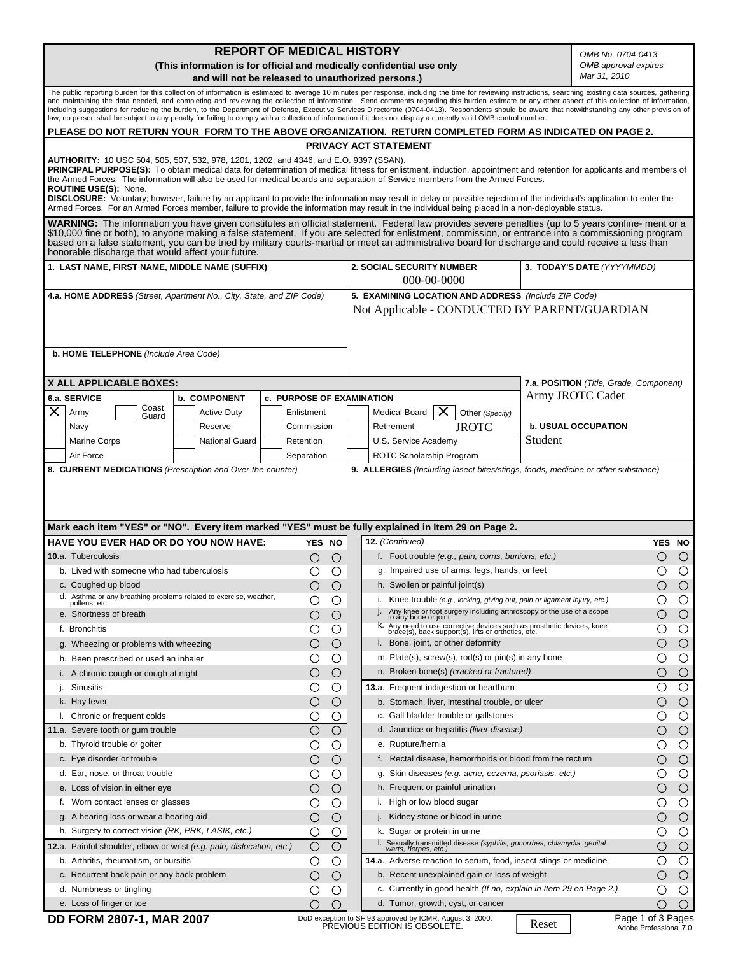**REPORT OF MEDICAL HISTORY** *OMB No. 0704-0413* **(This information is for official and medically confidential use only**  *OMB approval expires Mar 31, 2010* **and will not be released to unauthorized persons.)** The public reporting burden for this collection of information is estimated to average 10 minutes per response, including the time for reviewing instructions, searching existing data sources, gathering and maintaining the data needed, and completing and reviewing the collection of information. Send comments regarding this burden estimate or any other aspect of this collection of information,<br>including suggestions for red **PLEASE DO NOT RETURN YOUR FORM TO THE ABOVE ORGANIZATION. RETURN COMPLETED FORM AS INDICATED ON PAGE 2. PRIVACY ACT STATEMENT AUTHORITY:** 10 USC 504, 505, 507, 532, 978, 1201, 1202, and 4346; and E.O. 9397 (SSAN). PRINCIPAL PURPOSE(S): To obtain medical data for determination of medical fitness for enlistment, induction, appointment and retention for applicants and members of the Armed Forces. The information will also be used for medical boards and separation of Service members from the Armed Forces. **ROUTINE USE(S):** None. **DISCLOSURE:** Voluntary; however, failure by an applicant to provide the information may result in delay or possible rejection of the individual's application to enter the Armed Forces. For an Armed Forces member, failure to provide the information may result in the individual being placed in a non-deployable status. **WARNING:** The information you have given constitutes an official statement. Federal law provides severe penalties (up to 5 years confine- ment or a<br>\$10,000 fine or both), to anyone making a false statement. If you are sel honorable discharge that would affect your future. **1. LAST NAME, FIRST NAME, MIDDLE NAME (SUFFIX) 2. SOCIAL SECURITY NUMBER 3. TODAY'S DATE** *(YYYYMMDD)*  000-00-0000 **4.a. HOME ADDRESS** *(Street, Apartment No., City, State, and ZIP Code)*  **5. EXAMINING LOCATION AND ADDRESS** *(Include ZIP Code)* Not Applicable - CONDUCTED BY PARENT/GUARDIAN  **b. HOME TELEPHONE** *(Include Area Code)*  **X ALL APPLICABLE BOXES: 7.a. POSITION** *(Title, Grade, Component)* Army JROTC Cadet **6.a. SERVICE b. COMPONENT c. PURPOSE OF EXAMINATION** Coast  $\times$ Army Enlistment Active Duty Medical Board |  $\times$  | Other *(Specify)* Guard JROTC  **b. USUAL OCCUPATION** Navy Reserve Commission Retirement Student National Guard Retention Marine Corps U.S. Service Academy **Separation** ROTC Scholarship Program Air Force **8. CURRENT MEDICATIONS** *(Prescription and Over-the-counter)* **9. ALLERGIES** *(Including insect bites/stings, foods, medicine or other substance)* **Mark each item "YES" or "NO". Every item marked "YES" must be fully explained in Item 29 on Page 2. 12.** *(Continued)* **HAVE YOU EVER HAD OR DO YOU NOW HAVE: YES NO YES NO** f. Foot trouble *(e.g., pain, corns, bunions, etc.)*  $\bigcirc$  $\bigcirc$ **10.**a. Tuberculosis  $\bigcirc$  $\bigcirc$  $\overline{O}$  $\overline{O}$  $\overline{O}$  $\bigcirc$  g. Impaired use of arms, legs, hands, or feet b. Lived with someone who had tuberculosis c. Coughed up blood  $\bigcirc$  $\bigcirc$  h. Swollen or painful joint(s)  $\bigcirc$  $\bigcirc$ d. Asthma or any breathing problems related to exercise, weather,  $\bigcap$  $\bigcap$  i. Knee trouble *(e.g., locking, giving out, pain or ligament injury, etc.)*  $\bigcap$  $\overline{O}$  j. Any knee or foot surgery including arthroscopy or the use of a scope to any bone or joint e. Shortness of breath k. Any need to use corrective devices such as prosthetic devices, knee brace(s), back support(s), lifts or orthotics, etc. f. Bronchitis

|               | e. Shortness of breath                                                | $\left(\right)$ | $\bigcirc$       | Any knee or foot surgery including arthroscopy or the use of a scope to any bone or joint                                  |                                             | $\bigcirc$ |
|---------------|-----------------------------------------------------------------------|-----------------|------------------|----------------------------------------------------------------------------------------------------------------------------|---------------------------------------------|------------|
| f. Bronchitis |                                                                       |                 | O                | k. Any need to use corrective devices such as prosthetic devices, knee brace(s), back support(s), lifts or orthotics, etc. |                                             | ◯          |
|               | g. Wheezing or problems with wheezing                                 | Ο               | $\left( \right)$ | I. Bone, joint, or other deformity                                                                                         |                                             | $\bigcirc$ |
|               | h. Been prescribed or used an inhaler                                 | U               | O                | m. Plate(s), screw(s), rod(s) or pin(s) in any bone                                                                        |                                             | O          |
|               | i. A chronic cough or cough at night                                  | O               | O                | n. Broken bone(s) (cracked or fractured)                                                                                   |                                             | $\bigcirc$ |
| Sinusitis     |                                                                       | Ő               | Ő                | 13.a. Frequent indigestion or heartburn                                                                                    | O                                           | $\circ$    |
| k. Hay fever  |                                                                       | О               | $\left( \right)$ | b. Stomach, liver, intestinal trouble, or ulcer                                                                            | $\left(\begin{array}{c} \end{array}\right)$ | $\bigcirc$ |
|               | I. Chronic or frequent colds                                          | U               | О.               | c. Gall bladder trouble or gallstones                                                                                      |                                             | $\bigcirc$ |
|               | 11.a. Severe tooth or gum trouble                                     | U               | ( )              | d. Jaundice or hepatitis (liver disease)                                                                                   | $\left(\begin{array}{c} \end{array}\right)$ | $\bigcirc$ |
|               | b. Thyroid trouble or goiter                                          |                 | ( )              | e. Rupture/hernia                                                                                                          |                                             | $\bigcirc$ |
|               | c. Eye disorder or trouble                                            | О               | $\left( \right)$ | f. Rectal disease, hemorrhoids or blood from the rectum                                                                    |                                             | $\bigcirc$ |
|               | d. Ear, nose, or throat trouble                                       | ( )             | ( )              | g. Skin diseases (e.g. acne, eczema, psoriasis, etc.)                                                                      |                                             | $\circ$    |
|               | e. Loss of vision in either eye                                       | Ω               | ◯                | h. Frequent or painful urination                                                                                           | ◯                                           | $\bigcirc$ |
|               | f. Worn contact lenses or glasses                                     |                 | $\left( \right)$ | i. High or low blood sugar                                                                                                 |                                             | O          |
|               | g. A hearing loss or wear a hearing aid                               | Ο               | O                | j. Kidney stone or blood in urine                                                                                          | ∩                                           | $\bigcirc$ |
|               | h. Surgery to correct vision (RK, PRK, LASIK, etc.)                   | ()              | ( )              | k. Sugar or protein in urine                                                                                               |                                             | $\bigcirc$ |
|               | 12.a. Painful shoulder, elbow or wrist (e.g. pain, dislocation, etc.) | O               | C                | l. Sexually transmitted disease (syphilis, gonorrhea, chlamydia, genital<br>warts, herpes, etc.)                           | ∩                                           | $\circ$    |
|               | b. Arthritis, rheumatism, or bursitis                                 |                 | C                | 14.a. Adverse reaction to serum, food, insect stings or medicine                                                           |                                             | $\bigcirc$ |
|               | c. Recurrent back pain or any back problem                            | Ω               | $\left(\right)$  | b. Recent unexplained gain or loss of weight                                                                               |                                             | $\bigcirc$ |
|               | d. Numbness or tingling                                               |                 | ( )              | c. Currently in good health (If no, explain in Item 29 on Page 2.)                                                         |                                             |            |
|               | e. Loss of finger or toe                                              |                 | ()               | d. Tumor, growth, cyst, or cancer                                                                                          | ( )                                         | $\bigcirc$ |

DD FORM 2807-1, MAR 2007<br>PREVIOUS EDITION IS OBSOLETE.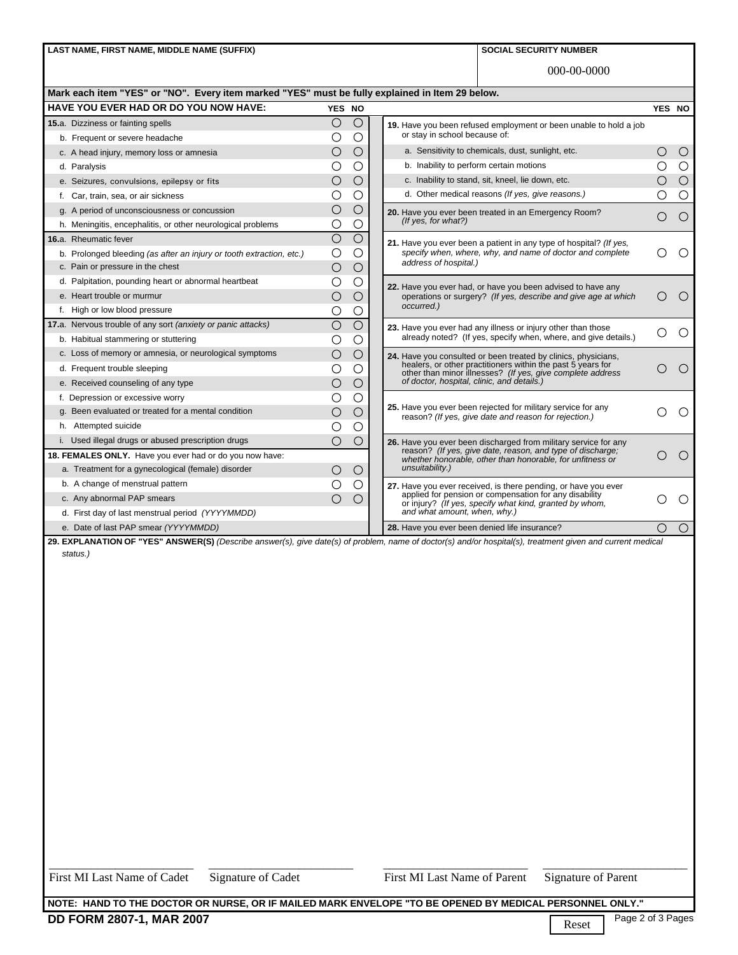LAST NAME, FIRST NAME, MIDDLE NAME (SUFFIX) **SOCIAL SECURITY NUMBER SOCIAL SECURITY NUMBER** 

000-00-0000

| Mark each item "YES" or "NO".  Every item marked "YES" must be fully explained in Item 29 below. |  |
|--------------------------------------------------------------------------------------------------|--|
|                                                                                                  |  |

| HAVE YOU EVER HAD OR DO YOU NOW HAVE:                                                                                                                      |                                                                      | YES NO                |                     |  |                                                                                                                                                                                                                                        | YES NO                                      |            |
|------------------------------------------------------------------------------------------------------------------------------------------------------------|----------------------------------------------------------------------|-----------------------|---------------------|--|----------------------------------------------------------------------------------------------------------------------------------------------------------------------------------------------------------------------------------------|---------------------------------------------|------------|
|                                                                                                                                                            | 15.a. Dizziness or fainting spells                                   | О                     | $\circ$             |  | 19. Have you been refused employment or been unable to hold a job<br>or stay in school because of:                                                                                                                                     |                                             |            |
|                                                                                                                                                            | b. Frequent or severe headache                                       | O                     | Ο                   |  |                                                                                                                                                                                                                                        |                                             |            |
|                                                                                                                                                            | c. A head injury, memory loss or amnesia                             | О                     | Ο                   |  | a. Sensitivity to chemicals, dust, sunlight, etc.                                                                                                                                                                                      | ◯                                           | $\circ$    |
|                                                                                                                                                            | d. Paralysis                                                         | O                     | Ο                   |  | b. Inability to perform certain motions                                                                                                                                                                                                |                                             | $\bigcirc$ |
|                                                                                                                                                            | e. Seizures, convulsions, epilepsy or fits                           | $\bigcirc$            | $\bigcirc$          |  | c. Inability to stand, sit, kneel, lie down, etc.                                                                                                                                                                                      | $\bigcirc$                                  | $\circ$    |
|                                                                                                                                                            | f. Car, train, sea, or air sickness                                  | Ο                     | Ο                   |  | d. Other medical reasons (If yes, give reasons.)                                                                                                                                                                                       |                                             | $\bigcirc$ |
|                                                                                                                                                            | g. A period of unconsciousness or concussion                         | $\bigcirc$            | $\circ$             |  | 20. Have you ever been treated in an Emergency Room?                                                                                                                                                                                   | $\bigcirc$                                  | $\circ$    |
|                                                                                                                                                            | h. Meningitis, encephalitis, or other neurological problems          | О                     | $\circ$             |  | (If yes, for what?)                                                                                                                                                                                                                    |                                             |            |
|                                                                                                                                                            | 16.a. Rheumatic fever                                                | $\bigcirc$            | $\bigcirc$          |  | 21. Have you ever been a patient in any type of hospital? (If yes,<br>specify when, where, why, and name of doctor and complete<br>address of hospital.)                                                                               |                                             |            |
|                                                                                                                                                            | b. Prolonged bleeding (as after an injury or tooth extraction, etc.) | $\bigcirc$            | $\circ$             |  |                                                                                                                                                                                                                                        |                                             | $\circ$    |
|                                                                                                                                                            | c. Pain or pressure in the chest                                     | $\bigcirc$            | $\circ$             |  |                                                                                                                                                                                                                                        |                                             |            |
|                                                                                                                                                            | d. Palpitation, pounding heart or abnormal heartbeat                 | О                     | О                   |  | 22. Have you ever had, or have you been advised to have any                                                                                                                                                                            |                                             |            |
|                                                                                                                                                            | e. Heart trouble or murmur                                           | О                     | $\circlearrowright$ |  | operations or surgery? (If yes, describe and give age at which                                                                                                                                                                         | $\left(\begin{array}{c} \end{array}\right)$ | $\bigcirc$ |
|                                                                                                                                                            | f. High or low blood pressure                                        | О                     | $\circ$             |  | occurred.)                                                                                                                                                                                                                             |                                             |            |
|                                                                                                                                                            | 17.a. Nervous trouble of any sort (anxiety or panic attacks)         | $\overline{\bigcirc}$ | $\bigcirc$          |  | 23. Have you ever had any illness or injury other than those<br>already noted? (If yes, specify when, where, and give details.)                                                                                                        |                                             |            |
|                                                                                                                                                            | b. Habitual stammering or stuttering                                 | Ο                     | $\bigcirc$          |  |                                                                                                                                                                                                                                        |                                             | $\circ$    |
|                                                                                                                                                            | c. Loss of memory or amnesia, or neurological symptoms               | $\bigcirc$            | $\circ$             |  | 24. Have you consulted or been treated by clinics, physicians,<br>healers, or other practitioners within the past 5 years for<br>other than minor illnesses? (If yes, give complete address of doctor, hospital, clinic, and details.) |                                             | $\bigcirc$ |
|                                                                                                                                                            | d. Frequent trouble sleeping                                         | О                     | $\bigcirc$          |  |                                                                                                                                                                                                                                        |                                             |            |
|                                                                                                                                                            | e. Received counseling of any type                                   | $\bigcirc$            | $\bigcirc$          |  |                                                                                                                                                                                                                                        |                                             |            |
|                                                                                                                                                            | f. Depression or excessive worry                                     | Ω                     | Ο                   |  |                                                                                                                                                                                                                                        |                                             |            |
|                                                                                                                                                            | g. Been evaluated or treated for a mental condition                  | $\bigcirc$            | $\circ$             |  | 25. Have you ever been rejected for military service for any<br>reason? (If yes, give date and reason for rejection.)                                                                                                                  |                                             | ◯          |
|                                                                                                                                                            | h. Attempted suicide                                                 | О                     | О                   |  |                                                                                                                                                                                                                                        |                                             |            |
|                                                                                                                                                            | i. Used illegal drugs or abused prescription drugs                   | $\bigcirc$            | $\bigcirc$          |  | 26. Have you ever been discharged from military service for any                                                                                                                                                                        |                                             |            |
| 18. FEMALES ONLY. Have you ever had or do you now have:                                                                                                    |                                                                      |                       |                     |  | reason? (If yes, give date, reason, and type of discharge;<br>whether honorable, other than honorable, for unfitness or                                                                                                                | ( )                                         | $\bigcirc$ |
|                                                                                                                                                            | a. Treatment for a gynecological (female) disorder                   | Ο                     | $\bigcirc$          |  | unsuitability.)                                                                                                                                                                                                                        |                                             |            |
|                                                                                                                                                            | b. A change of menstrual pattern                                     | Ο                     | O                   |  | 27. Have you ever received, is there pending, or have you ever<br>applied for pension or compensation for any disability<br>or injury? (If yes, specify what kind, granted by whom,<br>and what amount, when, why.)                    |                                             |            |
|                                                                                                                                                            | c. Any abnormal PAP smears                                           | $\bigcirc$            | $\circ$             |  |                                                                                                                                                                                                                                        |                                             | ◯          |
|                                                                                                                                                            | d. First day of last menstrual period (YYYYMMDD)                     |                       |                     |  |                                                                                                                                                                                                                                        |                                             |            |
|                                                                                                                                                            | e. Date of last PAP smear (YYYYMMDD)                                 |                       |                     |  | 28. Have you ever been denied life insurance?                                                                                                                                                                                          | $\bigcap$                                   | $\circ$    |
| 29. EXPLANATION OF "YES" ANSWER(S) (Describe answer(s), give date(s) of problem, name of doctor(s) and/or hospital(s), treatment given and current medical |                                                                      |                       |                     |  |                                                                                                                                                                                                                                        |                                             |            |

 *status.)*

First MI Last Name of Cadet Signature of Cadet First MI Last Name of Parent Signature of Parent

**NOTE: HAND TO THE DOCTOR OR NURSE, OR IF MAILED MARK ENVELOPE "TO BE OPENED BY MEDICAL PERSONNEL ONLY."**

\_\_\_\_\_\_\_\_\_\_\_\_\_\_\_\_\_\_\_\_\_\_\_\_ \_\_\_\_\_\_\_\_\_\_\_\_\_\_\_\_\_\_\_\_\_\_\_\_ \_\_\_\_\_\_\_\_\_\_\_\_\_\_\_\_\_\_\_\_\_\_\_\_ \_\_\_\_\_\_\_\_\_\_\_\_\_\_\_\_\_\_\_\_\_\_\_\_

Reset